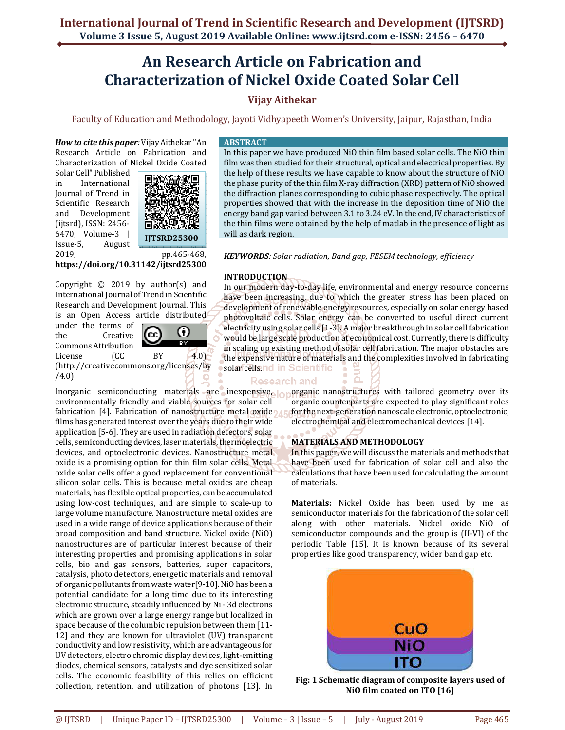# **An Research Article on Fabrication and Characterization of Nickel Oxide Coated Solar Cell**

## **Vijay Aithekar**

Faculty of Education and Methodology, Jayoti Vidhyapeeth Women's University, Jaipur, Rajasthan, India

*How to cite this paper:* Vijay Aithekar "An Research Article on Fabrication and Characterization of Nickel Oxide Coated

Solar Cell" Published in International Journal of Trend in Scientific Research and Development (ijtsrd), ISSN: 2456- 6470, Volume-3 | Issue-5, August 2019, pp.465-468,



**https://doi.org/10.31142/ijtsrd25300**

Copyright © 2019 by author(s) and International Journal of Trend in Scientific Research and Development Journal. This is an Open Access article distributed

under the terms of (cc) the Creative Commons Attribution<br>License (CC License (CC BY 4.0)



(http://creativecommons.org/licenses/by /4.0)

environmentally friendly and viable sources for solar cell fabrication [4]. Fabrication of nanostructure metal oxide of films has generated interest over the years due to their wide application [5-6]. They are used in radiation detectors, solar cells, semiconducting devices, laser materials, thermoelectric devices, and optoelectronic devices. Nanostructure metal oxide is a promising option for thin film solar cells. Metal oxide solar cells offer a good replacement for conventional silicon solar cells. This is because metal oxides are cheap materials, has flexible optical properties, can be accumulated using low-cost techniques, and are simple to scale-up to large volume manufacture. Nanostructure metal oxides are used in a wide range of device applications because of their broad composition and band structure. Nickel oxide (NiO) nanostructures are of particular interest because of their interesting properties and promising applications in solar cells, bio and gas sensors, batteries, super capacitors, catalysis, photo detectors, energetic materials and removal of organic pollutants from waste water[9-10]. NiO has been a potential candidate for a long time due to its interesting electronic structure, steadily influenced by Ni - 3d electrons which are grown over a large energy range but localized in space because of the columbic repulsion between them [11- 12] and they are known for ultraviolet (UV) transparent conductivity and low resistivity, which are advantageous for UV detectors, electro chromic display devices, light-emitting diodes, chemical sensors, catalysts and dye sensitized solar cells. The economic feasibility of this relies on efficient collection, retention, and utilization of photons [13]. In

## **ABSTRACT**

In this paper we have produced NiO thin film based solar cells. The NiO thin film was then studied for their structural, optical and electrical properties. By the help of these results we have capable to know about the structure of NiO the phase purity of the thin film X-ray diffraction (XRD) pattern of NiO showed the diffraction planes corresponding to cubic phase respectively. The optical properties showed that with the increase in the deposition time of NiO the energy band gap varied between 3.1 to 3.24 eV. In the end, IV characteristics of the thin films were obtained by the help of matlab in the presence of light as will as dark region.

*KEYWORDS: Solar radiation, Band gap, FESEM technology, efficiency* 

## **INTRODUCTION**

In our modern day-to-day life, environmental and energy resource concerns have been increasing, due to which the greater stress has been placed on development of renewable energy resources, especially on solar energy based photovoltaic cells. Solar energy can be converted to useful direct current electricity using solar cells [1-3]. A major breakthrough in solar cell fabrication would be large scale production at economical cost. Currently, there is difficulty in scaling up existing method of solar cell fabrication. The major obstacles are the expensive nature of materials and the complexities involved in fabricating solar cells.nd in Scientific

## **Research and**

Inorganic semiconducting materials are inexpensive, organic nanostructures with tailored geometry over its organic counterparts are expected to play significant roles for the next-generation nanoscale electronic, optoelectronic, electrochemical and electromechanical devices [14].

## **MATERIALS AND METHODOLOGY**

In this paper, we will discuss the materials and methods that have been used for fabrication of solar cell and also the calculations that have been used for calculating the amount of materials.

**Materials:** Nickel Oxide has been used by me as semiconductor materials for the fabrication of the solar cell along with other materials. Nickel oxide NiO of semiconductor compounds and the group is (II-VI) of the periodic Table [15]. It is known because of its several properties like good transparency, wider band gap etc.



**Fig: 1 Schematic diagram of composite layers used of NiO film coated on ITO [16]**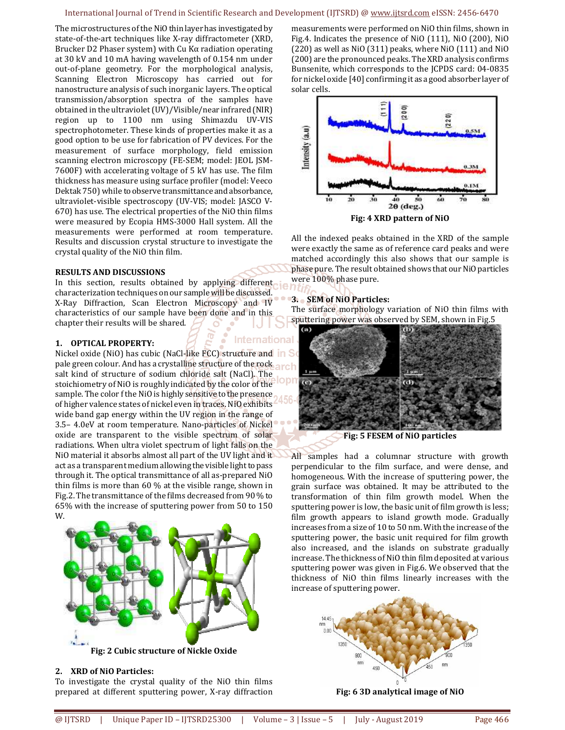#### International Journal of Trend in Scientific Research and Development (IJTSRD) @ www.ijtsrd.com eISSN: 2456-6470

The microstructures of the NiO thin layer has investigated by state-of-the-art techniques like X-ray diffractometer (XRD, Brucker D2 Phaser system) with Cu Kα radiation operating at 30 kV and 10 mA having wavelength of 0.154 nm under out-of-plane geometry. For the morphological analysis, Scanning Electron Microscopy has carried out for nanostructure analysis of such inorganic layers. The optical transmission/absorption spectra of the samples have obtained in the ultraviolet (UV)/Visible/near infrared (NIR) region up to 1100 nm using Shimazdu UV-VIS spectrophotometer. These kinds of properties make it as a good option to be use for fabrication of PV devices. For the measurement of surface morphology, field emission scanning electron microscopy (FE-SEM; model: JEOL JSM-7600F) with accelerating voltage of 5 kV has use. The film thickness has measure using surface profiler (model: Veeco Dektak 750) while to observe transmittance and absorbance, ultraviolet-visible spectroscopy (UV-VIS; model: JASCO V-670) has use. The electrical properties of the NiO thin films were measured by Ecopia HMS-3000 Hall system. All the measurements were performed at room temperature. Results and discussion crystal structure to investigate the crystal quality of the NiO thin film.

#### **RESULTS AND DISCUSSIONS**

In this section, results obtained by applying different characterization techniques on our sample will be discussed. X-Ray Diffraction, Scan Electron Microscopy and IV characteristics of our sample have been done and in this chapter their results will be shared.

#### **1. OPTICAL PROPERTY:**

Nickel oxide (NiO) has cubic (NaCl-like FCC) structure and in So pale green colour. And has a crystalline structure of the rock  $\frac{1}{2}$ salt kind of structure of sodium chloride salt (NaCl). The stoichiometry of NiO is roughly indicated by the color of the sample. The color f the NiO is highly sensitive to the presence of higher valence states of nickel even in traces. NiO exhibits wide band gap energy within the UV region in the range of 3.5– 4.0eV at room temperature. Nano-particles of Nickel oxide are transparent to the visible spectrum of solar radiations. When ultra violet spectrum of light falls on the NiO material it absorbs almost all part of the UV light and it act as a transparent medium allowing the visible light to pass through it. The optical transmittance of all as-prepared NiO thin films is more than 60 % at the visible range, shown in Fig.2. The transmittance of the films decreased from 90 % to 65% with the increase of sputtering power from 50 to 150 W.



#### **2. XRD of NiO Particles:**

To investigate the crystal quality of the NiO thin films prepared at different sputtering power, X-ray diffraction

measurements were performed on NiO thin films, shown in Fig.4. Indicates the presence of NiO (111), NiO (200), NiO (220) as well as NiO (311) peaks, where NiO (111) and NiO (200) are the pronounced peaks. The XRD analysis confirms Bunsenite, which corresponds to the JCPDS card: 04-0835 for nickel oxide [40] confirming it as a good absorber layer of solar cells.



**Fig: 4 XRD pattern of NiO** 

All the indexed peaks obtained in the XRD of the sample were exactly the same as of reference card peaks and were matched accordingly this also shows that our sample is phase pure. The result obtained shows that our NiO particles were 100% phase pure.

### **3. SEM of NiO Particles:**

The surface morphology variation of NiO thin films with sputtering power was observed by SEM, shown in Fig.5



**Fig: 5 FESEM of NiO particles** 

All samples had a columnar structure with growth perpendicular to the film surface, and were dense, and homogeneous. With the increase of sputtering power, the grain surface was obtained. It may be attributed to the transformation of thin film growth model. When the sputtering power is low, the basic unit of film growth is less; film growth appears to island growth mode. Gradually increases from a size of 10 to 50 nm. With the increase of the sputtering power, the basic unit required for film growth also increased, and the islands on substrate gradually increase. The thickness of NiO thin film deposited at various sputtering power was given in Fig.6. We observed that the thickness of NiO thin films linearly increases with the increase of sputtering power.



**Fig: 6 3D analytical image of NiO**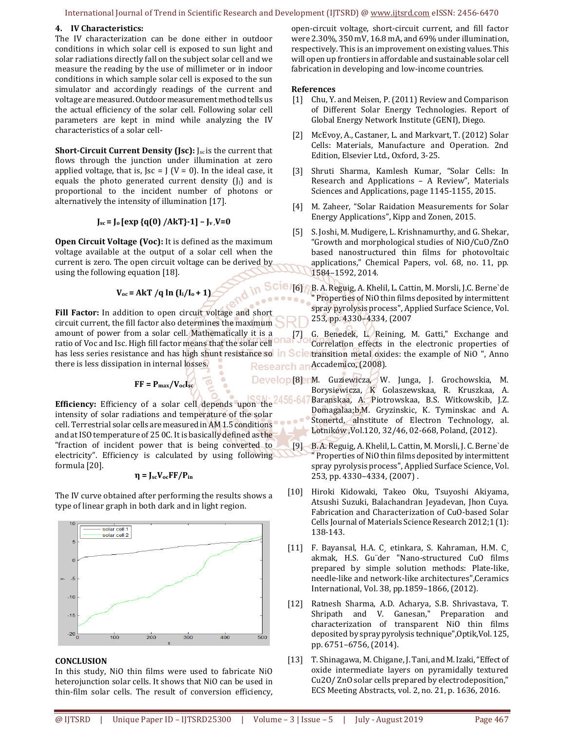#### International Journal of Trend in Scientific Research and Development (IJTSRD) @ www.ijtsrd.com eISSN: 2456-6470

## **4. IV Characteristics:**

The IV characterization can be done either in outdoor conditions in which solar cell is exposed to sun light and solar radiations directly fall on the subject solar cell and we measure the reading by the use of millimeter or in indoor conditions in which sample solar cell is exposed to the sun simulator and accordingly readings of the current and voltage are measured. Outdoor measurement method tells us the actual efficiency of the solar cell. Following solar cell parameters are kept in mind while analyzing the IV characteristics of a solar cell-

**Short-Circuit Current Density (Jsc):** J<sub>sc</sub> is the current that flows through the junction under illumination at zero applied voltage, that is, Jsc = J (V = 0). In the ideal case, it equals the photo generated current density  $(J_1)$  and is proportional to the incident number of photons or alternatively the intensity of illumination [17].

## **Jsc = Jo [exp {q(0) /AkT}-1] – Jv ,V=0**

**Open Circuit Voltage (Voc):** It is defined as the maximum voltage available at the output of a solar cell when the current is zero. The open circuit voltage can be derived by using the following equation [18].

$$
V_{oc} = AKT /q \ln (I_i/I_o + 1)
$$

Fill Factor: In addition to open circuit voltage and short circuit current, the fill factor also determines the maximum amount of power from a solar cell. Mathematically it is a ratio of Voc and Isc. High fill factor means that the solar cell has less series resistance and has high shunt resistance so in Scie there is less dissipation in internal losses.

$$
FF = P_{\text{max}}/V_{\text{oc}}I_{\text{sc}}
$$

**Efficiency:** Efficiency of a solar cell depends upon the intensity of solar radiations and temperature of the solar cell. Terrestrial solar cells are measured in AM 1.5 conditions and at ISO temperature of 25 0C. It is basically defined as the "fraction of incident power that is being converted to electricity". Efficiency is calculated by using following formula [20].

$$
\eta = J_{sc}V_{oc}FF/P_{in}
$$

The IV curve obtained after performing the results shows a type of linear graph in both dark and in light region.



#### **CONCLUSION**

In this study, NiO thin films were used to fabricate NiO heterojunction solar cells. It shows that NiO can be used in thin-film solar cells. The result of conversion efficiency, open-circuit voltage, short-circuit current, and fill factor were 2.30%, 350 mV, 16.8 mA, and 69% under illumination, respectively. This is an improvement on existing values. This will open up frontiers in affordable and sustainable solar cell fabrication in developing and low-income countries.

#### **References**

- [1] Chu, Y. and Meisen, P. (2011) Review and Comparison of Different Solar Energy Technologies. Report of Global Energy Network Institute (GENI), Diego.
- [2] McEvoy, A., Castaner, L. and Markvart, T. (2012) Solar Cells: Materials, Manufacture and Operation. 2nd Edition, Elsevier Ltd., Oxford, 3-25.
- [3] Shruti Sharma, Kamlesh Kumar, "Solar Cells: In Research and Applications – A Review", Materials Sciences and Applications, page 1145-1155, 2015.
- [4] M. Zaheer, "Solar Raidation Measurements for Solar Energy Applications", Kipp and Zonen, 2015.
- [5] S. Joshi, M. Mudigere, L. Krishnamurthy, and G. Shekar, "Growth and morphological studies of NiO/CuO/ZnO based nanostructured thin films for photovoltaic applications," Chemical Papers, vol. 68, no. 11, pp. 1584–1592, 2014.
- [6] B. A. Reguig, A. Khelil, L. Cattin, M. Morsli, J.C. Berne`de " Properties of NiO thin films deposited by intermittent spray pyrolysis process", Applied Surface Science, Vol. 253, pp. 4330–4334, (2007

[7] G. Benedek, L. Reining, M. Gatti," Exchange and Correlation effects in the electronic properties of transition metal oxides: the example of NiO ", Anno Research an Accademico, (2008).

- Develop [8] nM. Guziewicza, W. Junga, J. Grochowskia, M. Borysiewicza, K Golaszewskaa, R. Kruszkaa, A. Baranskaa, A. Piotrowskaa, B.S. Witkowskib, J.Z. 56-647 Domagalaa;b,M. Gryzinskic, K. Tyminskac and A. Stonertd, aInstitute of Electron Technology, al. Lotników ,Vol.120, 32/46, 02-668, Poland, (2012).
	- [9] B. A. Reguig, A. Khelil, L. Cattin, M. Morsli, J. C. Berne`de " Properties of NiO thin films deposited by intermittent spray pyrolysis process", Applied Surface Science, Vol. 253, pp. 4330–4334, (2007) .
	- [10] Hiroki Kidowaki, Takeo Oku, Tsuyoshi Akiyama, Atsushi Suzuki, Balachandran Jeyadevan, Jhon Cuya. Fabrication and Characterization of CuO-based Solar Cells Journal of Materials Science Research 2012;1 (1): 138-143.
	- [11] F. Bayansal, H.A. C, etinkara, S. Kahraman, H.M. C, akmak, H.S. Gu¨der "Nano-structured CuO films prepared by simple solution methods: Plate-like, needle-like and network-like architectures",Ceramics International, Vol. 38, pp.1859–1866, (2012).
	- [12] Ratnesh Sharma, A.D. Acharya, S.B. Shrivastava, T. Shripath and V. Ganesan," Preparation and characterization of transparent NiO thin films deposited by spray pyrolysis technique",Optik,Vol. 125, pp. 6751–6756, (2014).
	- [13] T. Shinagawa, M. Chigane, J. Tani, and M. Izaki, "Effect of oxide intermediate layers on pyramidally textured Cu2O/ ZnO solar cells prepared by electrodeposition," ECS Meeting Abstracts, vol. 2, no. 21, p. 1636, 2016.